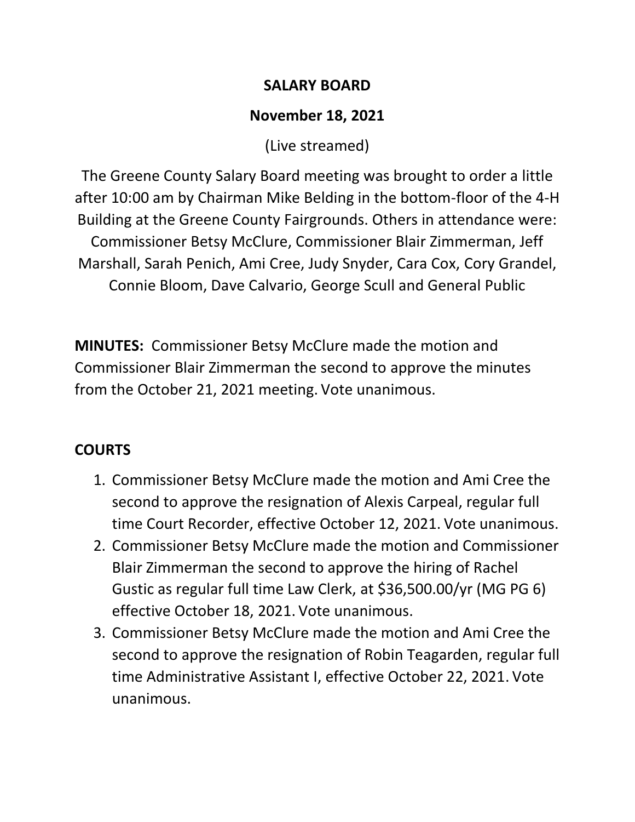#### **SALARY BOARD**

## **November 18, 2021**

(Live streamed)

The Greene County Salary Board meeting was brought to order a little after 10:00 am by Chairman Mike Belding in the bottom-floor of the 4-H Building at the Greene County Fairgrounds. Others in attendance were: Commissioner Betsy McClure, Commissioner Blair Zimmerman, Jeff Marshall, Sarah Penich, Ami Cree, Judy Snyder, Cara Cox, Cory Grandel, Connie Bloom, Dave Calvario, George Scull and General Public

**MINUTES:** Commissioner Betsy McClure made the motion and Commissioner Blair Zimmerman the second to approve the minutes from the October 21, 2021 meeting. Vote unanimous.

# **COURTS**

- 1. Commissioner Betsy McClure made the motion and Ami Cree the second to approve the resignation of Alexis Carpeal, regular full time Court Recorder, effective October 12, 2021. Vote unanimous.
- 2. Commissioner Betsy McClure made the motion and Commissioner Blair Zimmerman the second to approve the hiring of Rachel Gustic as regular full time Law Clerk, at \$36,500.00/yr (MG PG 6) effective October 18, 2021. Vote unanimous.
- 3. Commissioner Betsy McClure made the motion and Ami Cree the second to approve the resignation of Robin Teagarden, regular full time Administrative Assistant I, effective October 22, 2021. Vote unanimous.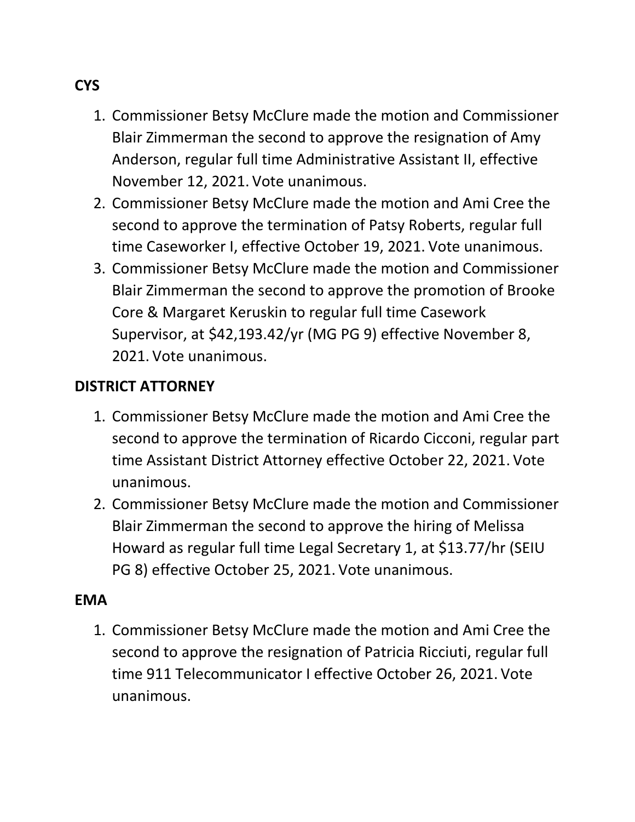- 1. Commissioner Betsy McClure made the motion and Commissioner Blair Zimmerman the second to approve the resignation of Amy Anderson, regular full time Administrative Assistant II, effective November 12, 2021. Vote unanimous.
- 2. Commissioner Betsy McClure made the motion and Ami Cree the second to approve the termination of Patsy Roberts, regular full time Caseworker I, effective October 19, 2021. Vote unanimous.
- 3. Commissioner Betsy McClure made the motion and Commissioner Blair Zimmerman the second to approve the promotion of Brooke Core & Margaret Keruskin to regular full time Casework Supervisor, at \$42,193.42/yr (MG PG 9) effective November 8, 2021. Vote unanimous.

### **DISTRICT ATTORNEY**

- 1. Commissioner Betsy McClure made the motion and Ami Cree the second to approve the termination of Ricardo Cicconi, regular part time Assistant District Attorney effective October 22, 2021. Vote unanimous.
- 2. Commissioner Betsy McClure made the motion and Commissioner Blair Zimmerman the second to approve the hiring of Melissa Howard as regular full time Legal Secretary 1, at \$13.77/hr (SEIU PG 8) effective October 25, 2021. Vote unanimous.

#### **EMA**

1. Commissioner Betsy McClure made the motion and Ami Cree the second to approve the resignation of Patricia Ricciuti, regular full time 911 Telecommunicator I effective October 26, 2021. Vote unanimous.

## **CYS**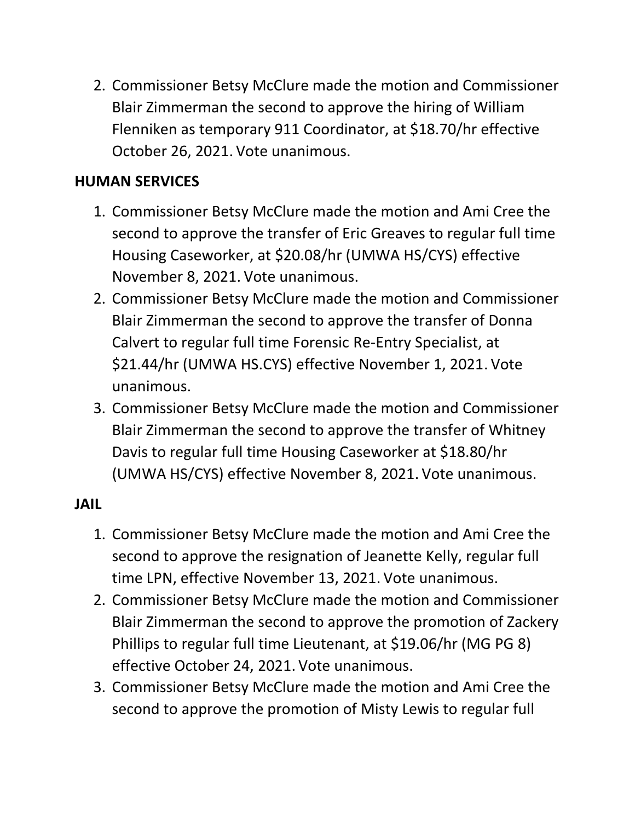2. Commissioner Betsy McClure made the motion and Commissioner Blair Zimmerman the second to approve the hiring of William Flenniken as temporary 911 Coordinator, at \$18.70/hr effective October 26, 2021. Vote unanimous.

### **HUMAN SERVICES**

- 1. Commissioner Betsy McClure made the motion and Ami Cree the second to approve the transfer of Eric Greaves to regular full time Housing Caseworker, at \$20.08/hr (UMWA HS/CYS) effective November 8, 2021. Vote unanimous.
- 2. Commissioner Betsy McClure made the motion and Commissioner Blair Zimmerman the second to approve the transfer of Donna Calvert to regular full time Forensic Re-Entry Specialist, at \$21.44/hr (UMWA HS.CYS) effective November 1, 2021. Vote unanimous.
- 3. Commissioner Betsy McClure made the motion and Commissioner Blair Zimmerman the second to approve the transfer of Whitney Davis to regular full time Housing Caseworker at \$18.80/hr (UMWA HS/CYS) effective November 8, 2021. Vote unanimous.

#### **JAIL**

- 1. Commissioner Betsy McClure made the motion and Ami Cree the second to approve the resignation of Jeanette Kelly, regular full time LPN, effective November 13, 2021. Vote unanimous.
- 2. Commissioner Betsy McClure made the motion and Commissioner Blair Zimmerman the second to approve the promotion of Zackery Phillips to regular full time Lieutenant, at \$19.06/hr (MG PG 8) effective October 24, 2021. Vote unanimous.
- 3. Commissioner Betsy McClure made the motion and Ami Cree the second to approve the promotion of Misty Lewis to regular full